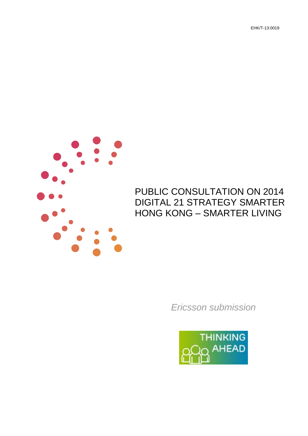EHK/T-13:0019



# PUBLIC CONSULTATION ON 2014 HONG KONG – SMARTER LIVINGDIGITAL 21 STRATEGY SMARTER

*Ericsson submission* 

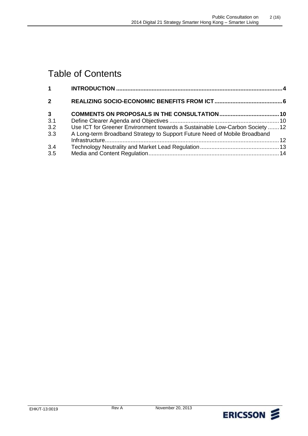# Table of Contents

| 1              |                                                                              |  |
|----------------|------------------------------------------------------------------------------|--|
| $\overline{2}$ |                                                                              |  |
| $\mathbf{3}$   |                                                                              |  |
| 3.1            |                                                                              |  |
| 3.2            | Use ICT for Greener Environment towards a Sustainable Low-Carbon Society  12 |  |
| 3.3            | A Long-term Broadband Strategy to Support Future Need of Mobile Broadband    |  |
| 3.4            |                                                                              |  |
| 3.5            |                                                                              |  |

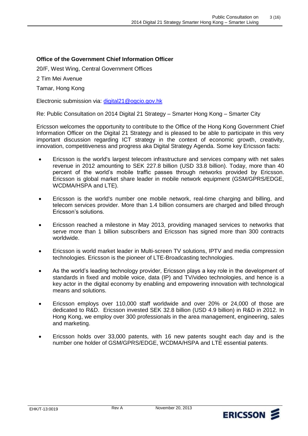### **Office of the Government Chief Information Officer**

20/F, West Wing, Central Government Offices

2 Tim Mei Avenue

Tamar, Hong Kong

Electronic submission via: digital21@ogcio.gov.hk

Re: Public Consultation on 2014 Digital 21 Strategy – Smarter Hong Kong – Smarter City

 Ericsson welcomes the opportunity to contribute to the Office of the Hong Kong Government Chief Information Officer on the Digital 21 Strategy and is pleased to be able to participate in this very important discussion regarding ICT strategy in the context of economic growth, creativity, innovation, competitiveness and progress aka Digital Strategy Agenda. Some key Ericsson facts:

- Ericsson is the world's largest telecom infrastructure and services company with net sales revenue in 2012 amounting to SEK 227.8 billion (USD 33.8 billion). Today, more than 40 percent of the world's mobile traffic passes through networks provided by Ericsson. Ericsson is global market share leader in mobile network equipment (GSM/GPRS/EDGE, percent<br>Ericssor<br>WCDMA<br>Ericssor WCDMA/HSPA and LTE).
- Ericsson is the world's number one mobile network, real-time charging and billing, and telecom services provider. More than 1.4 billion consumers are charged and billed through Ericsson's solutions.
- Ericsson reached a milestone in May 2013, providing managed services to networks that serve more than 1 billion subscribers and Ericsson has signed more than 300 contracts worldwide.
- Ericsson is world market leader in Multi-screen TV solutions, IPTV and media compression technologies. Ericsson is the pioneer of LTE-Broadcasting technologies.
- As the world's leading technology provider, Ericsson plays a key role in the development of standards in fixed and mobile voice, data (IP) and TV/video technologies, and hence is a key actor in the digital economy by enabling and empowering innovation with technological means and solutions.
- Ericsson employs over 110,000 staff worldwide and over 20% or 24,000 of those are dedicated to R&D. Ericsson invested SEK 32.8 billion (USD 4.9 billion) in R&D in 2012. In Hong Kong, we employ over 300 professionals in the area management, engineering, sales and marketing.
- Ericsson holds over 33,000 patents, with 16 new patents sought each day and is the number one holder of GSM/GPRS/EDGE, WCDMA/HSPA and LTE essential patents.

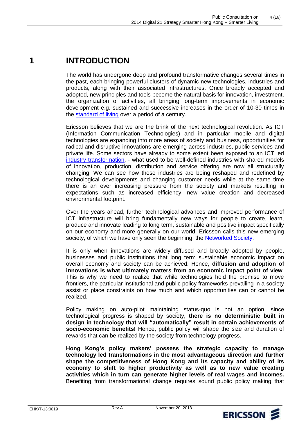#### **1 INTRODUCTION**

 The world has undergone deep and profound transformative changes several times in the past, each bringing powerful clusters of dynamic new technologies, industries and products, along with their associated infrastructures. Once broadly accepted and adopted, new principles and tools become the natural basis for innovation, investment, development e.g. sustained and successive increases in the order of 10-30 times in the **standard of living** over a period of a century. the organization of activities, all bringing long-term improvements in economic

 Ericsson believes that we are the brink of the next technological revolution. As ICT (Information Communication Technologies) and in particular mobile and digital technologies are expanding into more areas of society and business, opportunities for radical and disruptive innovations are emerging across industries, public services and private life. Some sectors have already to some extent been exposed to an ICT led [industry transformation,](http://www.ericsson.com/res/docs/2013/industry-transformation-in-the-networked-society.pdf) - what used to be well-defined industries with shared models of innovation, production, distribution and service offering are now all structurally changing. We can see how these industries are being reshaped and redefined by technological developments and changing customer needs while at the same time there is an ever increasing pressure from the society and markets resulting in expectations such as increased efficiency, new value creation and decreased environmental footprint.

 ICT infrastructure will bring fundamentally new ways for people to create, learn, produce and innovate leading to long term, sustainable and positive impact specifically on our economy and more generally on our world. Ericsson calls this new emerging society, of which we have only seen the beginning, the **Networked Society**. Over the years ahead, further technological advances and improved performance of

 It is only when innovations are widely diffused and broadly adopted by people, businesses and public institutions that long term sustainable economic impact on overall economy and society can be achieved. Hence, **diffusion and adoption of innovations is what ultimately matters from an economic impact point of view**. This is why we need to realize that while technologies hold the promise to move frontiers, the particular institutional and public policy frameworks prevailing in a society assist or place constraints on how much and which opportunities can or cannot be realized.

 Policy making on auto-pilot maintaining status-quo is not an option, since technological progress is shaped by society, **there is no deterministic built in design in technology that will "automatically" result in certain achievements of socio-economic benefits**! Hence, public policy will shape the size and duration of rewards that can be realized by the society from technology progress.

 **Hong Kong's policy makers' possess the strategic capacity to manage technology led transformations in the most advantageous direction and further shape the competitiveness of Hong Kong and its capacity and ability of its economy to shift to higher productivity as well as to new value creating activities which in turn can generate higher levels of real wages and incomes.**  Benefiting from transformational change requires sound public policy making that

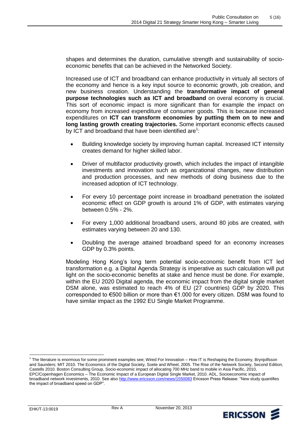shapes and determines the duration, cumulative strength and sustainability of socio-economic benefits that can be achieved in the Networked Society.

 Increased use of ICT and broadband can enhance productivity in virtualy all sectors of the economy and hence is a key input source to economic growth, job creation, and new business creation. Understanding the **transformative impact of general purpose technologies such as ICT and broadband** on overal economy is crucial. This sort of economic impact is more significant than for example the impact on economy from increased expenditure of consumer goods. This is because increased  expenditures on **ICT can transform economies by putting them on to new and long lasting growth creating trajectories.** Some important economic effects caused by ICT and broadband that have been identified are $1$ : 2014 Depths 21 Strategy Smaller Harp General Hero Monday Constant Proposition on 5 (16)<br>
Shapes and determines the duration, comulative strength and sustainability of social<br>
encoronic Dentific Inst can be an investigated

- creates demand for higher skilled labor. Building knowledge society by improving human capital. Increased ICT intensity
- Driver of multifactor productivity growth, which includes the impact of intangible investments and innovation such as organizational changes, new distribution and production processes, and new methods of doing business due to the increased adoption of ICT technology.  $\bullet$
- economic effect on GDP growth is around 1% of GDP, with estimates varying between 0.5% - 2%. For every 10 percentage point increase in broadband penetration the isolated
- estimates varying between 20 and 130. For every 1,000 additional broadband users, around 80 jobs are created, with
- Doubling the average attained broadband speed for an economy increases GDP by 0.3% points.

 Modeling Hong Kong's long term potential socio-economic benefit from ICT led transformation e.g. a Digital Agenda Strategy is imperative as such calculation will put light on the socio-economic benefits at stake and hence must be done. For example, within the EU 2020 Digital agenda, the economic impact from the digital single market DSM alone, was estimated to reach 4% of EU (27 countries) GDP by 2020. This corresponded to €500 billion or more than €1.000 for every citizen. DSM was found to have similar impact as the 1992 EU Single Market Programme. ng Kong's long term potential socio-econnic completed a Strategy is imperatival coio-economic benefits at stake and hence 2020 Digital agenda, the economic impact was estimated to reach 4% of EU (27 cc to €500 billion or



 <sup>1</sup> The literature is enormous for some prominent examples see; Wired For Innovation – How IT is Reshaping the Economy, Brynjolfsson and Saunders; MIT 2010. The Economics of the Digital Society, Soete and Wheel, 2005. The Rise of the Network Society, Second Edition, Castells 2010. Boston Consulting Group, Socio-economic impact of allocating 700 MHz band to mobile in Asia Pacific, 2010, EPC/Copenhagen Economics – The Economic Impact of a European Digital Single Market, 2010. ADL, Socioeconomic impact of broadband network investments, 2010. See also http://www.ericsson.com/news/1550083 Ericsson Press Release: "New study quantifies the impact of broadband speed on GDP".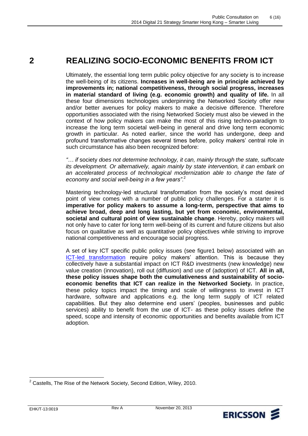## **REALIZING SOCIO-ECONOMIC BENEFITS FROM ICT**

 Ultimately, the essential long term public policy objective for any society is to increase the well-being of its citizens. **Increases in well-being are in principle achieved by improvements in; national competitiveness, through social progress, increases in material standard of living (e.g. economic growth) and quality of life.** In all these four dimensions technologies underpinning the Networked Society offer new and/or better avenues for policy makers to make a decisive difference. Therefore opportunities associated with the rising Networked Society must also be viewed in the context of how policy makers can make the most of this rising techno-paradigm to increase the long term societal well-being in general and drive long term economic growth in particular. As noted earlier, since the world has undergone, deep and profound transformative changes several times before, policy makers' central role in such circumstance has also been recognized before: **2 REALIZING SOCIO-EC**<br>
Ultimately, the essential long term<br>
the well-being of its citizens. Increase the well-being of its citizens. Increase<br>
improvements in; national com<br>
in material standard of living<br>
these four dime

 *"… if* society *does not determine technology, it can, mainly through the state, suffocate*  its development. Or alternatively, again mainly by state intervention, it can embark on an accelerated process of technological modernization able to change the fate of  *economy and social well-being in a few years"*. 2

 Mastering technology-led structural transformation from the society's most desired point of view comes with a number of public policy challenges. For a starter it is  **imperative for policy makers to assume a long-term, perspective that aims to achieve broad, deep and long lasting, but yet from economic, environmental, societal and cultural point of view sustainable change**. Hereby, policy makers will not only have to cater for long term well-being of its current and future citizens but also national competitiveness and encourage social progress. focus on qualitative as well as quantitative policy objectives while striving to improve

 A set of key ICT specific public policy issues (see figure1 below) associated with an **ICT-led transformation** require policy makers' attention. This is because they collectively have a substantial impact on ICT R&D investments (new knowledge) new value creation (innovation), roll out (diffusion) and use of (adoption) of ICT. **All in all, these policy issues shape both the cumulativeness and sustainability of socio- economic benefits that ICT can realize in the Networked Society.** In practice, these policy topics impact the timing and scale of willingness to invest in ICT hardware, software and applications e.g. the long term supply of ICT related capabilities. But they also determine end users' (peoples, businesses and public services) ability to benefit from the use of ICT- as these policy issues define the speed, scope and intensity of economic opportunities and benefits available from ICT adoption.



 $\overline{\phantom{a}}$  $2$  Castells, The Rise of the Network Society, Second Edition, Wiley, 2010.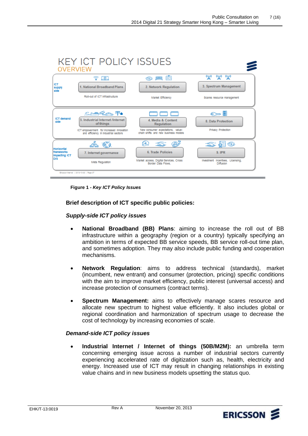

 **Figure 1 -** *Key ICT Policy Issues* 

 **Brief description of ICT specific public policies:** 

### *Supply-side ICT policy issues*

- **National Broadband (BB) Plans**: aiming to increase the roll out of BB infrastructure within a geography (region or a country) typically specifying an ambition in terms of expected BB service speeds, BB service roll-out time plan, and sometimes adoption. They may also include public funding and cooperation mechanisms.
- **Network Regulation**: aims to address technical (standards), market (incumbent, new entrant) and consumer (protection, pricing) specific conditions with the aim to improve market efficiency, public interest (universal access) and increase protection of consumers (contract terms).
- allocate new spectrum to highest value efficiently. It also includes global or regional coordination and harmonization of spectrum usage to decrease the cost of technology by increasing economies of scale. **Spectrum Management:** aims to effectively manage scares resource and

### *Demand-side ICT policy issues*

 **Industrial Internet / Internet of things (50B/M2M):** an umbrella term concerning emerging issue across a number of industrial sectors currently experiencing accelerated rate of digitization such as, health, electricity and energy. Increased use of ICT may result in changing relationships in existing value chains and in new business models upsetting the status quo.

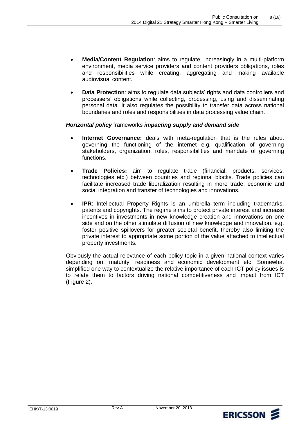- **Media/Content Regulation**: aims to regulate, increasingly in a multi-platform environment, media service providers and content providers obligations, roles and responsibilities while creating, aggregating and making available audiovisual content.
- **Data Protection**: aims to regulate data subjects' rights and data controllers and processers' obligations while collecting, processing, using and disseminating personal data. It also regulates the possibility to transfer data across national boundaries and roles and responsibilities in data processing value chain.

### *Horizontal policy* frameworks *impacting supply and demand side*

- **Internet Governance:** deals with meta-regulation that is the rules about governing the functioning of the internet e.g. qualification of governing stakeholders, organization, roles, responsibilities and mandate of governing functions.
- **Trade Policies:** aim to regulate trade (financial, products, services, technologies etc.) between countries and regional blocks. Trade policies can facilitate increased trade liberalization resulting in more trade, economic and social integration and transfer of technologies and innovations.  $\bullet$
- patents and copyrights. The regime aims to protect private interest and increase incentives in investments in new knowledge creation and innovations on one side and on the other stimulate diffusion of new knowledge and innovation, e.g. foster positive spillovers for greater societal benefit, thereby also limiting the private interest to appropriate some portion of the value attached to intellectual **IPR**: Intellectual Property Rights is an umbrella term including trademarks, property investments.

 Obviously the actual relevance of each policy topic in a given national context varies depending on, maturity, readiness and economic development etc. Somewhat simplified one way to contextualize the relative importance of each ICT policy issues is to relate them to factors driving national competitiveness and impact from ICT (Figure 2).

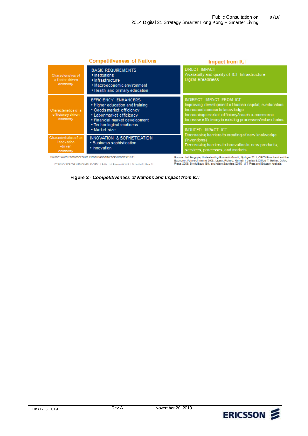|                                                           | <b>Competitiveness of Nations</b>                                                                                                                                                | <b>Impact from ICT</b>                                                                                                                                                                                                     |  |
|-----------------------------------------------------------|----------------------------------------------------------------------------------------------------------------------------------------------------------------------------------|----------------------------------------------------------------------------------------------------------------------------------------------------------------------------------------------------------------------------|--|
| Characteristics of<br>a factor-driven<br>economy          | <b>BASIC REQUIREMENTS</b><br>• Institutions<br>• Infrastructure<br>• Macroeconomic environment<br>• Health and primary education                                                 | <b>DIRECT IMPACT</b><br>Availability and quality of ICT Infrastructure<br><b>Digital Rreadiness</b>                                                                                                                        |  |
| Characteristics of a<br>efficiency-driven<br>economy      | EFFICIENCY ENHANCERS<br>• Higher education and training<br>• Goods market efficiency<br>• Labor market efficiency<br>• Financial market development<br>• Technological readiness | INDIRECT IMPACT FROM ICT<br>Improving development of human capital, e-education<br>Increased access to knowledge<br>Increasinge market efficieny/reache-commerce<br>Increase efficiency in existing processes/value chains |  |
|                                                           | • Market size                                                                                                                                                                    | <b>INDUCED IMPACT ICT</b>                                                                                                                                                                                                  |  |
| Characteristics of an<br>Innovation<br>-driven<br>economy | INNOVATION & SOPHISTICATION<br>· Business sophistication<br>· Innovation                                                                                                         | Decreasing barriers to creating of new knolwedge<br>(inventions)<br>Decreasing barriers to innovation in new products,<br>services, processes, and markets                                                                 |  |
|                                                           | Source: World Economic Forum, Global Competitiveness Report 2010-11                                                                                                              | Source: Jati Sengupts, Understanding Economic Growth, Springer 2011, OECD Broadband and th                                                                                                                                 |  |

ICT POLICY FOR THE NETWORKED SOCIETY | Public | @ Ericason (@ 2019 | 2019-10-02 | Page 21

Source: Jati Sengupta, Understanding Economic Growth, Springer 2011, OECO Broadband and the<br>Economy, Future of Internet 2003; Lipsey, Richard; Kenneth I. Carlaw & Cliftord T. Bekhar, Oxford<br>Press 2005; Brynjolfsson, Brik,

#### **Figure 2 -** *Competitiveness of Nations and Impact from ICT*

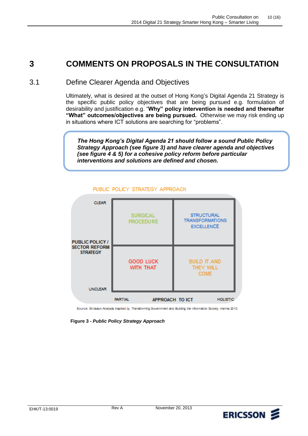# **3 COMMENTS ON PROPOSALS IN THE CONSULTATION**

## 3.1 Define Clearer Agenda and Objectives

 Ultimately, what is desired at the outset of Hong Kong's Digital Agenda 21 Strategy is the specific public policy objectives that are being pursued e.g. formulation of desirability and justification e.g. "**Why" policy intervention is needed and thereafter**  "What" outcomes/objectives are being pursued. Otherwise we may risk ending up Public Consultation on 10 (16)<br>
2014 Digital 21 Strategy Smarter Hong Kong – Smarter Living<br>
PROPOSALS IN THE CONSULTATION<br>
2014 Digital Agenda 21 Strategy<br>
2015 ALS IN THE CONSULTATION<br>
2015 Also and Objectives<br>
21 Strate in situations where ICT solutions are searching for "problems".

 *The Hong Kong's Digital Agenda 21 should follow a sound Public Policy Strategy Approach (see figure 3) and have clearer agenda and objectives (see figure 4 & 5) for a cohesive policy reform before particular interventions and solutions are defined and chosen.* 



#### PUBLIC POLICY STRATEGY APPROACH

Source: Ericsson Analysis Inspired by, Transforming Government and Building the Information Society, Hanna 2010.

 **Figure 3 -** *Public Policy Strategy Approach* 

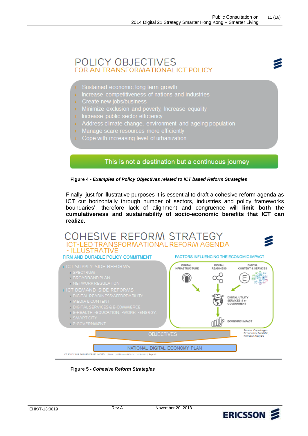## POLICY OBJECTIVES FOR AN TRANSFORMATIONAL ICT POLICY

- Sustained economic long term growth
- Increase competitiveness of nations and industries
- Create new jobs/business
- Minimize exclusion and poverty, Increase equality
- > Increase public sector efficiency
- > Address climate change, environment and ageing population
- Manage scare resources more efficiently
- Cope with increasing level of urbanization

### This is not a destination but a continuous journey

 **Figure 4 -** *Examples of Policy Objectives related to ICT based Reform Strategies* 

 Finally, just for illustrative purposes it is essential to draft a cohesive reform agenda as ICT cut horizontally through number of sectors, industries and policy frameworks boundaries', therefore lack of alignment and congruence will **limit both the cumulativeness and sustainability of socio-economic benefits that ICT can realize.** 



 **Figure 5 -** *Cohesive Reform Strategies* 

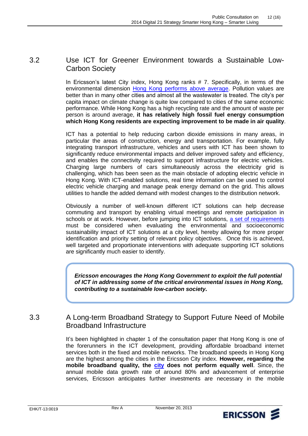#### Use ICT for Greener Environment towards a Sustainable Low-3.2 Carbon Society

 In Ericsson's latest City index, Hong Kong ranks # 7. Specifically, in terms of the better than in many other cities and almost all the wastewater is treated. The city's per capita impact on climate change is quite low compared to cities of the same economic performance. While Hong Kong has a high recycling rate and the amount of waste per person is around average, **it has relatively high fossil fuel energy consumption which Hong Kong residents are expecting improvement to be made in air quality**. environmental dimension [Hong Kong performs above average.](http://www.ericsson.com/res/docs/2013/ns-city-index-report-2013-city-profiles.pdf) Pollution values are

 ICT has a potential to help reducing carbon dioxide emissions in many areas, in particular the areas of construction, energy and transportation. For example, fully integrating transport infrastructure, vehicles and users with ICT has been shown to significantly reduce environmental impacts and deliver improved safety and efficiency, and enables the connectivity required to support infrastructure for electric vehicles. Charging large numbers of cars simultaneously across the electricity grid is challenging, which has been seen as the main obstacle of adopting electric vehicle in Hong Kong. With ICT-enabled solutions, real time information can be used to control electric vehicle charging and manage peak energy demand on the grid. This allows utilities to handle the added demand with modest changes to the distribution network.  $2014$  Digital 21 Strutter Host Graduation on 12 (16)<br>
3.2 Use ICT for Greener Environment towards a Sustainable Low<br>
Carbon Society<br>
In Ericsson's latest City indox, Hong Kong ranks #7. Specifically, in terms of the<br>
con

 Obviously a number of well-known different ICT solutions can help decrease commuting and transport by enabling virtual meetings and remote participation in schools or at work. However, before jumping into ICT solutions, a set of requirements must be considered when evaluating the environmental and socioeconomic sustainability impact of ICT solutions at a city level, hereby allowing for more proper identification and priority setting of relevant policy objectives. Once this is achieved, well targeted and proportionate interventions with adequate supporting ICT solutions are significantly much easier to identify.

*Ericsson encourages the Hong Kong Government to exploit the full potential of ICT in addressing some of the critical environmental issues in Hong Kong, contributing to a sustainable low-carbon society.*

#### $3.3$ A Long-term Broadband Strategy to Support Future Need of Mobile Broadband Infrastructure

 It's been highlighted in chapter 1 of the consultation paper that Hong Kong is one of the forerunners in the ICT development, providing affordable broadband internet services both in the fixed and mobile networks. The broadband speeds in Hong Kong are the highest among the cities in the Ericsson City index. **However, regarding the mobile broadband quality, the [city](http://www.ericsson.com/res/docs/2013/ns-city-index-report-2013-city-profiles.pdf) does not perform equally well**. Since, the annual mobile data growth rate of around 80% and advancement of enterprise services, Ericsson anticipates further investments are necessary in the mobile

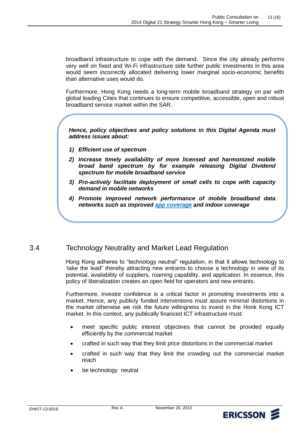broadband infrastructure to cope with the demand. Since the city already performs very well on fixed and Wi-Fi infrastructure side further public investments in this area would seem incorrectly allocated delivering lower marginal socio-economic benefits than alternative uses would do.

 Furthermore, Hong Kong needs a long-term mobile broadband strategy on par with global leading Cities that continues to ensure competitive, accessible, open and robust broadband service market within the SAR.

 *Hence, policy objectives and policy solutions in this Digital Agenda must address issues about:* 

- *1) Efficient use of spectrum*
- *2) Increase timely availability of more licensed and harmonized mobile broad band spectrum by for example releasing Digital Dividend spectrum for mobile broadband service*
- *3) Pro-actively facilitate deployment of small cells to cope with capacity demand in mobile networks*
- *4) Promote improved network performance of mobile broadband data networks such as improved [app coverage](http://www.ericsson.com/res/docs/2013/ericsson-mobility-report-november-2013.pdf) and indoor coverage*

#### Technology Neutrality and Market Lead Regulation 3.4

 Hong Kong adheres to "technology neutral" regulation, in that it allows technology to 'take the lead" thereby attracting new entrants to choose a technology in view of its potential, availability of suppliers, roaming capability, and application. In essence, this policy of liberalization creates an open field for operators and new entrants.

 Furthermore, investor confidence is a critical factor in promoting investments into a market. Hence, any publicly funded interventions must assure minimal distortions in the market otherwise we risk the future willingness to invest in the Honk Kong ICT market. In this context, any publically financed ICT infrastructure must: ng<br>ke t<br>licy<br>rthe<br>rke<br>rke

- efficiently by the commercial market meet specific public interest objectives that cannot be provided equally
- crafted in such way that they limit price distortions in the commercial market
- crafted in such way that they limit the crowding out the commercial market reach
- be technology neutral

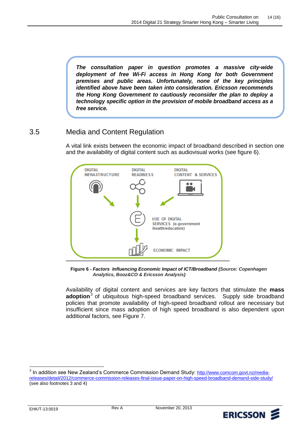*The consultation paper in question promotes a massive city-wide deployment of free Wi-Fi access in Hong Kong for both Government Phe consultation paper in question promotes a massive city-wide*<br> *deployment of free Wi-Fi access in Hong Kong for both Government*<br> *premises and public areas. Unfortunately, none of the key principles*<br> *identified abo The consultation paper in question promotes a massive city-wide deployment of free Wi-Fi access in Hong Kong for both Government premises and public areas. Unfortunately, none of the key principles identified above have b the Hong Kong for both Government*<br>*premises and public areas. Unfortunately, none of the key principles*<br>*identified above have been taken into consideration. Ericsson recommends*<br>*the Hong Kong Government to cautiously technology specific option in the identified above have been taken into consideration. Ericsson recommends the Hong Kong Government to cautiously reconsider the plan to deploy a technology specific option in the p identified above have been taken into consideration. Ericsson recommends the Hong Kong Government to cautiously reconsider the plan to deploy a technology specific option in the provision of mobile broadband access as a f* 

#### Media and Content Regulation 3.5

 A vital link exists between the economic impact of broadband described in section one and the availability of digital content such as audiovisual works (see figure 6).



 **Figure 6 -** *Factors Influencing Economic Impact of ICT/Broadband (Source: Copenhagen Analytics, Booz&CO & Ericsson Analysis)*

 Availability of digital content and services are key factors that stimulate the **mass adoption**3 of ubiquitous high-speed broadband services. Supply side broadband policies that promote availability of high-speed broadband rollout are necessary but insufficient since mass adoption of high speed broadband is also dependent upon additional factors, see Figure 7.



<sup>&</sup>lt;u>releases/detail/2012/commerce-commission-releases-final-issue-paper-on-high-speed-broadband-demand-side-study/</u><br>(see also footnotes 3 and 4) (see also footnotes 3 and 4) <sup>3</sup> In addition see New Zealand's Commerce Commission Demand Study: [http://www.comcom.govt.nz/media-](http://www.comcom.govt.nz/media-releases/detail/2012/commerce-commission-releases-final-issue-paper-on-high-speed-broadband-demand-side-study/)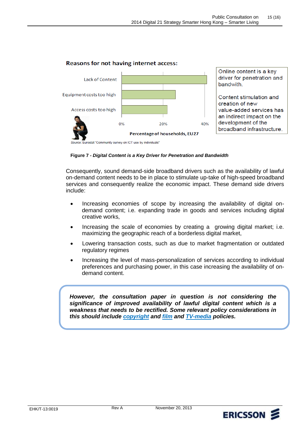

#### Reasons for not having internet access:

 **Figure 7 -** *Digital Content is a Key Driver for Penetration and Bandwidth* 

 Consequently, sound demand-side broadband drivers such as the availability of lawful on-demand content needs to be in place to stimulate up-take of high-speed broadband services and consequently realize the economic impact. These demand side drivers include:

- Increasing economies of scope by increasing the availability of digital on- demand content; i.e. expanding trade in goods and services including digital creative works,
- Increasing the scale of economies by creating a growing digital market; i.e. maximizing the geographic reach of a borderless digital market,
- Lowering transaction costs, such as due to market fragmentation or outdated regulatory regimes
- Increasing the level of mass-personalization of services according to individual preferences and purchasing power, in this case increasing the availability of ondemand content.

the consultation paper in question is not considering the improved availability of lawful digital content which is a However, the consultation paper in question is not considering the<br>significance of improved availability of lawful digital content which is a<br>weakness that needs to be rectified. Some relevant policy considerations in  *this should include [copyright](http://www.ericsson.com/thinkingahead/the-networked-society-blog/2013/01/22/copyright-laws-for-digital-transformation-yes-please/) and [film](http://www.ericsson.com/thinkingahead/the-networked-society-blog/2013/09/11/the-consumer-has-spoken-but-is-anyone-listening/) and [TV-media](http://www.ericsson.com/thinkingahead/the-networked-society-blog/2013/08/29/resetting-eu-policy-frameworks-for-a-converged-world/) policies.*



rostat "Community survey on ICT use by individuals"